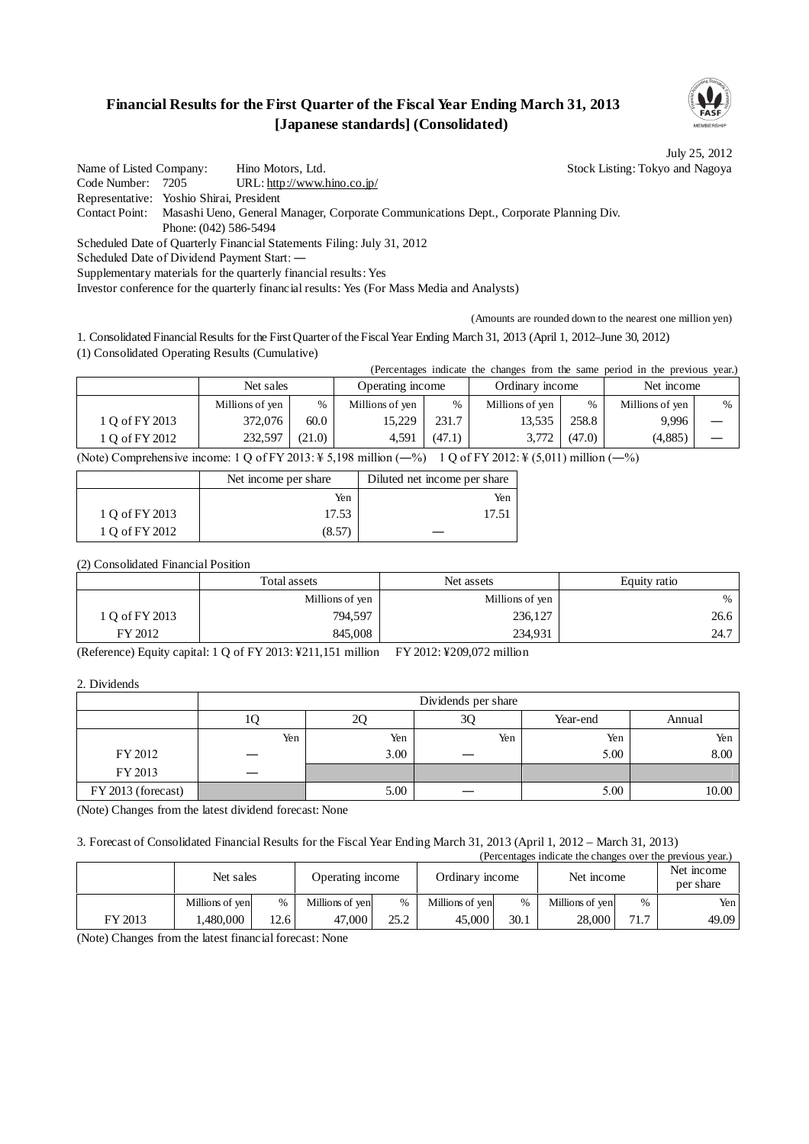## **Financial Results for the First Quarter of the Fiscal Year Ending March 31, 2013 [Japanese standards] (Consolidated)**



July 25, 2012

Name of Listed Company: Hino Motors, Ltd. Stock Listing: Tokyo and Nagoya Code Number: 7205 URL: http://www.hino.co.jp/ Representative: Yoshio Shirai, President Contact Point: Masashi Ueno, General Manager, Corporate Communications Dept., Corporate Planning Div. Phone: (042) 586-5494 Scheduled Date of Quarterly Financial Statements Filing: July 31, 2012 Scheduled Date of Dividend Payment Start: ―

Supplementary materials for the quarterly financial results: Yes

Investor conference for the quarterly financial results: Yes (For Mass Media and Analysts)

(Amounts are rounded down to the nearest one million yen)

1. Consolidated Financial Results for the First Quarter of the Fiscal Year Ending March 31, 2013 (April 1, 2012–June 30, 2012) (1) Consolidated Operating Results (Cumulative)

(Percentages indicate the changes from the same period in the previous year.)

|                | Net sales                                                                                                                                                                                                                                               |        | Operating income |        | Ordinary income |        | Net income      |   |  |
|----------------|---------------------------------------------------------------------------------------------------------------------------------------------------------------------------------------------------------------------------------------------------------|--------|------------------|--------|-----------------|--------|-----------------|---|--|
|                | Millions of yen                                                                                                                                                                                                                                         | $\%$   | Millions of yen  | $\%$   | Millions of yen | $\%$   | Millions of yen | % |  |
| 1 O of FY 2013 | 372,076                                                                                                                                                                                                                                                 | 60.0   | 15.229           | 231.7  | 13,535          | 258.8  | 9,996           |   |  |
| 1 O of FY 2012 | 232,597                                                                                                                                                                                                                                                 | (21.0) | 4.591            | (47.1) | 3.772           | (47.0) | (4,885)         |   |  |
|                | <br><br>All a construction of the collection of the collection of the collection of the collection of the collection of the collection of the collection of the collection of the collection of the collection of the collection of th<br>$\sim$ $\sim$ |        |                  |        |                 |        |                 |   |  |

(Note) Comprehensive income:  $1 \text{ Q of FY } 2013$ :  $\frac{1}{2}$  5,198 million (-%)  $1 \text{ Q of FY } 2012$ :  $\frac{1}{2}$  (5,011) million (-%)

|                | Net income per share | Diluted net income per share |
|----------------|----------------------|------------------------------|
|                | Yen                  | Yen                          |
| 1 Q of FY 2013 | 17.53                | 17.5                         |
| 1 Q of FY 2012 | (8.57)               |                              |

(2) Consolidated Financial Position

|                | Total assets    | Net assets      | Equity ratio |
|----------------|-----------------|-----------------|--------------|
|                | Millions of yen | Millions of yen | $\%$         |
| 1 O of FY 2013 | 794,597         | 236,127         | 26.6         |
| FY 2012        | 845,008         | 234,931         | 24.7         |

(Reference) Equity capital: 1 Q of FY 2013: ¥211,151 million FY 2012: ¥209,072 million

2. Dividends

|                    | Dividends per share |      |     |          |        |  |  |
|--------------------|---------------------|------|-----|----------|--------|--|--|
|                    | 10                  | 2Ç   | 3Q  | Year-end | Annual |  |  |
|                    | Yen                 | Yen  | Yen | Yen      | Yen    |  |  |
| FY 2012            |                     | 3.00 |     | 5.00     | 8.00   |  |  |
| FY 2013            |                     |      |     |          |        |  |  |
| FY 2013 (forecast) |                     | 5.00 |     | 5.00     | 10.00  |  |  |

(Note) Changes from the latest dividend forecast: None

#### 3. Forecast of Consolidated Financial Results for the Fiscal Year Ending March 31, 2013 (April 1, 2012 – March 31, 2013) extending the changes over the revious

|         | Net sales       |      |                 | relectingles indicate the changes over the previous year.<br>Ordinary income<br>Net income<br>Operating income |                 |      |                 |      | Net income<br>per share |
|---------|-----------------|------|-----------------|----------------------------------------------------------------------------------------------------------------|-----------------|------|-----------------|------|-------------------------|
|         | Millions of yen | $\%$ | Millions of yen | $\frac{0}{0}$                                                                                                  | Millions of yen | $\%$ | Millions of yen | $\%$ | Yen l                   |
| FY 2013 | 1.480.000       | 12.6 | 47.000          | 25.2                                                                                                           | 45,000          | 30.1 | 28,000          | 71.7 | 49.09                   |

(Note) Changes from the latest financial forecast: None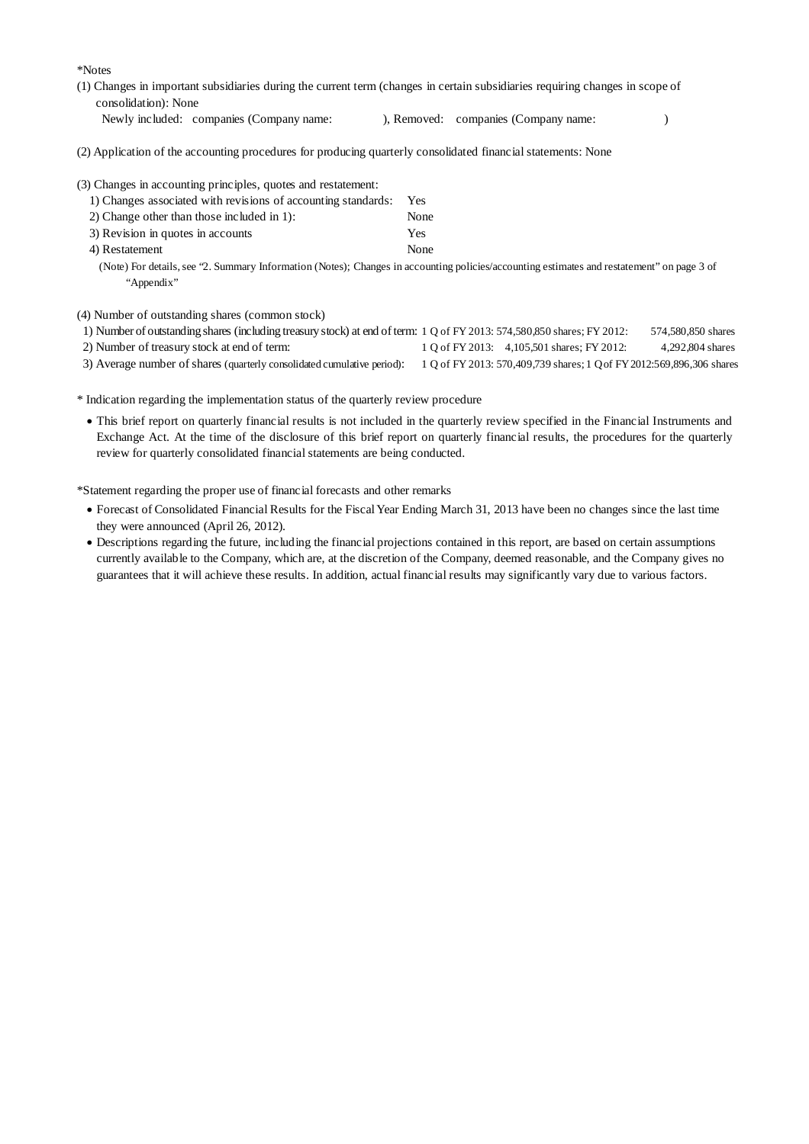\*Notes

- (1) Changes in important subsidiaries during the current term (changes in certain subsidiaries requiring changes in scope of consolidation): None
	- Newly included: companies (Company name: ), Removed: companies (Company name: )

(2) Application of the accounting procedures for producing quarterly consolidated financial statements: None

|  |  |  |  | (3) Changes in accounting principles, quotes and restatement: |
|--|--|--|--|---------------------------------------------------------------|
|  |  |  |  |                                                               |

| 1) Changes associated with revisions of accounting standards: | <b>Yes</b> |
|---------------------------------------------------------------|------------|
| 2) Change other than those included in $1$ :                  | None       |
| 3) Revision in quotes in accounts                             | Yes        |
| 4) Restatement                                                | None       |

(Note) For details, see "2. Summary Information (Notes); Changes in accounting policies/accounting estimates and restatement" on page 3 of "Appendix"

(4) Number of outstanding shares (common stock)

- 1) Number of outstanding shares (including treasury stock) at end of term: 1 Q of FY 2013: 574,580,850 shares; FY 2012: 574,580,850 shares 2) Number of treasury stock at end of term: 1 Q of FY 2013: 4,105,501 shares; FY 2012: 4,292,804 shares
- 
- 3) Average number of shares (quarterly consolidated cumulative period): 1 Q of FY 2013: 570,409,739 shares; 1 Qof FY2012:569,896,306 shares

\* Indication regarding the implementation status of the quarterly review procedure

 This brief report on quarterly financial results is not included in the quarterly review specified in the Financial Instruments and Exchange Act. At the time of the disclosure of this brief report on quarterly financial results, the procedures for the quarterly review for quarterly consolidated financial statements are being conducted.

\*Statement regarding the proper use of financial forecasts and other remarks

- Forecast of Consolidated Financial Results for the Fiscal Year Ending March 31, 2013 have been no changes since the last time they were announced (April 26, 2012).
- Descriptions regarding the future, including the financial projections contained in this report, are based on certain assumptions currently available to the Company, which are, at the discretion of the Company, deemed reasonable, and the Company gives no guarantees that it will achieve these results. In addition, actual financial results may significantly vary due to various factors.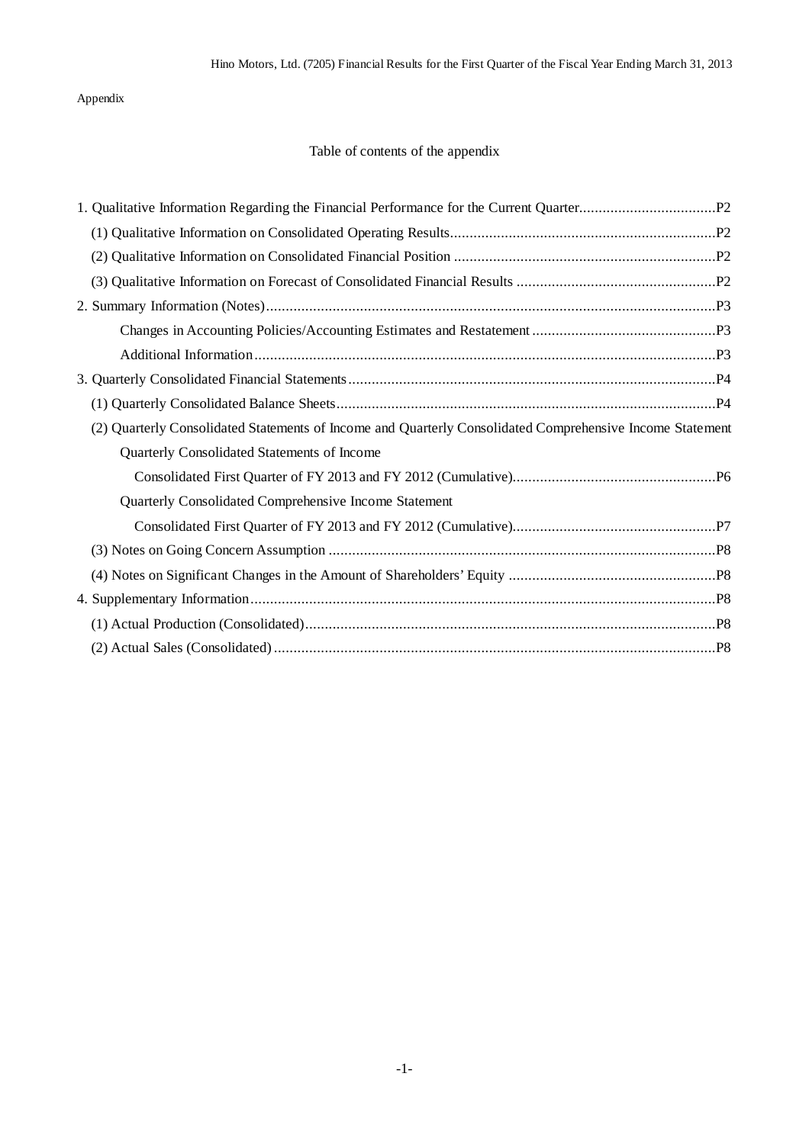## Appendix

## Table of contents of the appendix

| (2) Quarterly Consolidated Statements of Income and Quarterly Consolidated Comprehensive Income Statement |
|-----------------------------------------------------------------------------------------------------------|
| Quarterly Consolidated Statements of Income                                                               |
|                                                                                                           |
| Quarterly Consolidated Comprehensive Income Statement                                                     |
|                                                                                                           |
|                                                                                                           |
|                                                                                                           |
|                                                                                                           |
|                                                                                                           |
|                                                                                                           |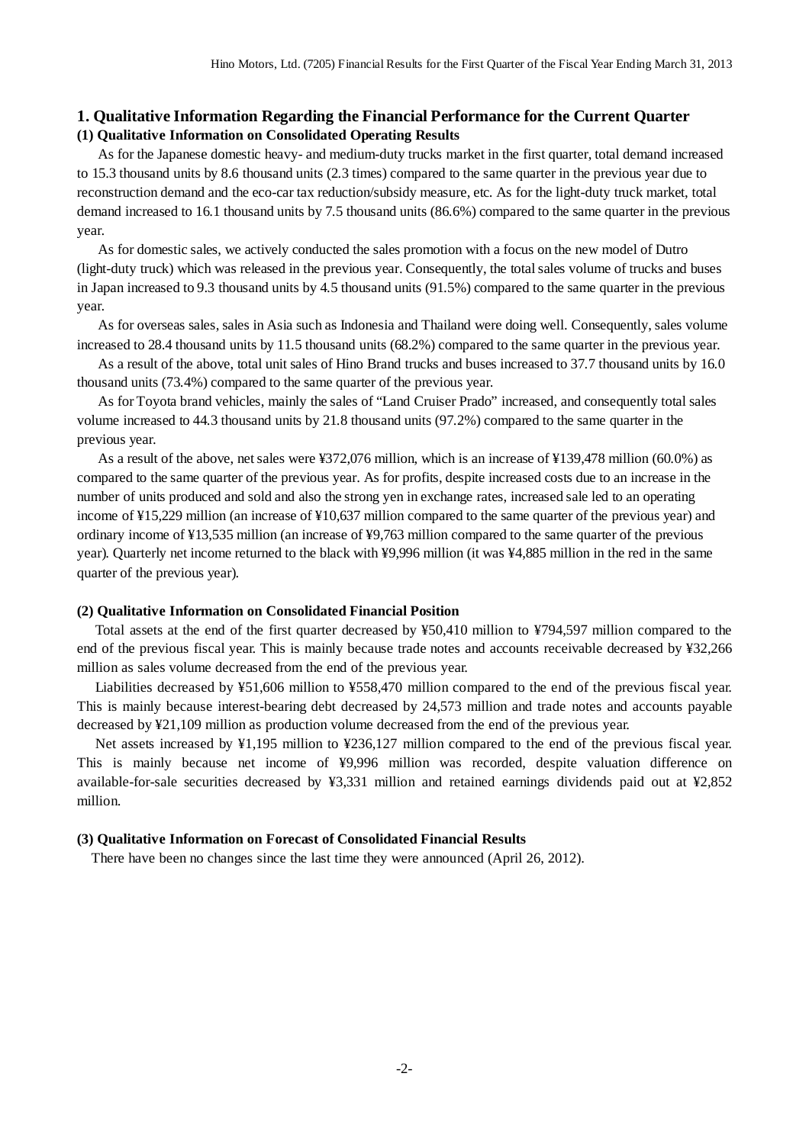### **1. Qualitative Information Regarding the Financial Performance for the Current Quarter (1) Qualitative Information on Consolidated Operating Results**

As for the Japanese domestic heavy- and medium-duty trucks market in the first quarter, total demand increased to 15.3 thousand units by 8.6 thousand units (2.3 times) compared to the same quarter in the previous year due to reconstruction demand and the eco-car tax reduction/subsidy measure, etc. As for the light-duty truck market, total demand increased to 16.1 thousand units by 7.5 thousand units (86.6%) compared to the same quarter in the previous year.

As for domestic sales, we actively conducted the sales promotion with a focus on the new model of Dutro (light-duty truck) which was released in the previous year. Consequently, the total sales volume of trucks and buses in Japan increased to 9.3 thousand units by 4.5 thousand units (91.5%) compared to the same quarter in the previous year.

As for overseas sales, sales in Asia such as Indonesia and Thailand were doing well. Consequently, sales volume increased to 28.4 thousand units by 11.5 thousand units (68.2%) compared to the same quarter in the previous year.

As a result of the above, total unit sales of Hino Brand trucks and buses increased to 37.7 thousand units by 16.0 thousand units (73.4%) compared to the same quarter of the previous year.

As for Toyota brand vehicles, mainly the sales of "Land Cruiser Prado" increased, and consequently total sales volume increased to 44.3 thousand units by 21.8 thousand units (97.2%) compared to the same quarter in the previous year.

As a result of the above, net sales were ¥372,076 million, which is an increase of ¥139,478 million (60.0%) as compared to the same quarter of the previous year. As for profits, despite increased costs due to an increase in the number of units produced and sold and also the strong yen in exchange rates, increased sale led to an operating income of ¥15,229 million (an increase of ¥10,637 million compared to the same quarter of the previous year) and ordinary income of ¥13,535 million (an increase of ¥9,763 million compared to the same quarter of the previous year). Quarterly net income returned to the black with ¥9,996 million (it was ¥4,885 million in the red in the same quarter of the previous year).

#### **(2) Qualitative Information on Consolidated Financial Position**

Total assets at the end of the first quarter decreased by ¥50,410 million to ¥794,597 million compared to the end of the previous fiscal year. This is mainly because trade notes and accounts receivable decreased by ¥32,266 million as sales volume decreased from the end of the previous year.

Liabilities decreased by ¥51,606 million to ¥558,470 million compared to the end of the previous fiscal year. This is mainly because interest-bearing debt decreased by 24,573 million and trade notes and accounts payable decreased by ¥21,109 million as production volume decreased from the end of the previous year.

Net assets increased by ¥1,195 million to ¥236,127 million compared to the end of the previous fiscal year. This is mainly because net income of ¥9,996 million was recorded, despite valuation difference on available-for-sale securities decreased by ¥3,331 million and retained earnings dividends paid out at ¥2,852 million.

#### **(3) Qualitative Information on Forecast of Consolidated Financial Results**

There have been no changes since the last time they were announced (April 26, 2012).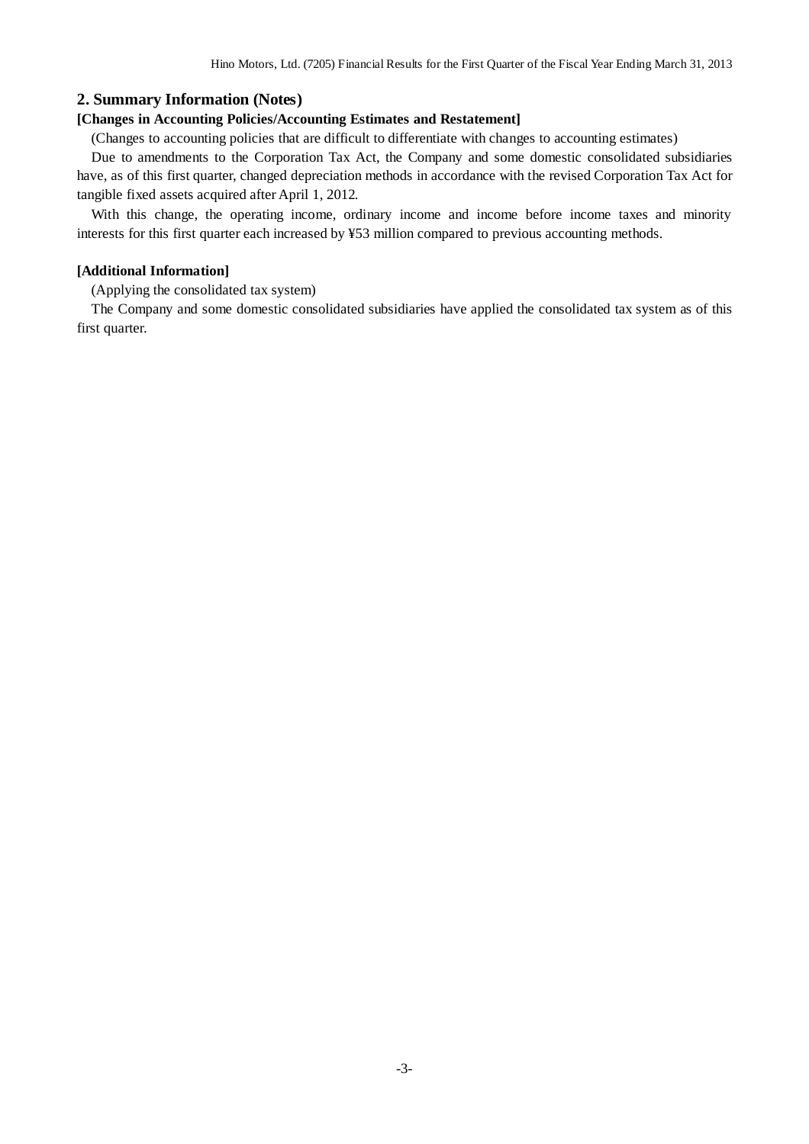### **2. Summary Information (Notes)**

#### **[Changes in Accounting Policies/Accounting Estimates and Restatement]**

(Changes to accounting policies that are difficult to differentiate with changes to accounting estimates)

Due to amendments to the Corporation Tax Act, the Company and some domestic consolidated subsidiaries have, as of this first quarter, changed depreciation methods in accordance with the revised Corporation Tax Act for tangible fixed assets acquired after April 1, 2012.

With this change, the operating income, ordinary income and income before income taxes and minority interests for this first quarter each increased by ¥53 million compared to previous accounting methods.

#### **[Additional Information]**

(Applying the consolidated tax system)

The Company and some domestic consolidated subsidiaries have applied the consolidated tax system as of this first quarter.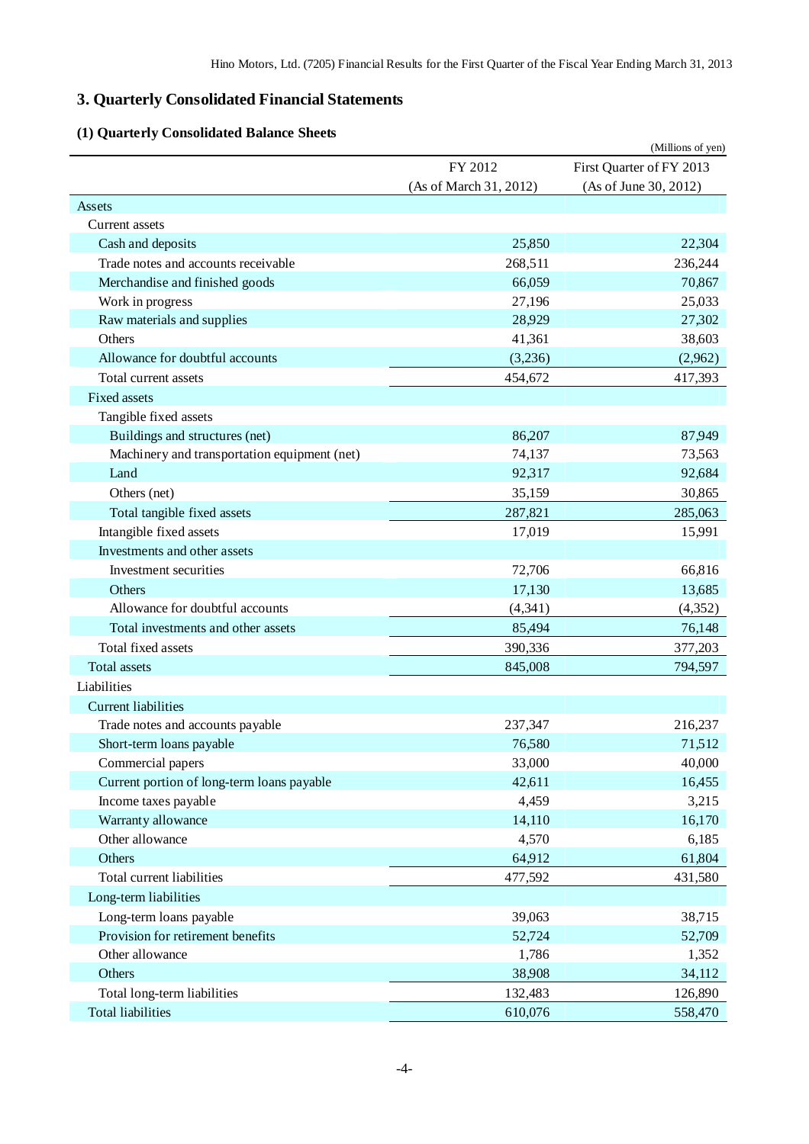# **3. Quarterly Consolidated Financial Statements**

# **(1) Quarterly Consolidated Balance Sheets**

| Quarterly Consonuated Dalance Shi            |                        | (Millions of yen)        |
|----------------------------------------------|------------------------|--------------------------|
|                                              | FY 2012                | First Quarter of FY 2013 |
|                                              | (As of March 31, 2012) | (As of June 30, 2012)    |
| Assets                                       |                        |                          |
| Current assets                               |                        |                          |
| Cash and deposits                            | 25,850                 | 22,304                   |
| Trade notes and accounts receivable          | 268,511                | 236,244                  |
| Merchandise and finished goods               | 66,059                 | 70,867                   |
| Work in progress                             | 27,196                 | 25,033                   |
| Raw materials and supplies                   | 28,929                 | 27,302                   |
| Others                                       | 41,361                 | 38,603                   |
| Allowance for doubtful accounts              | (3,236)                | (2,962)                  |
| Total current assets                         | 454,672                | 417,393                  |
| <b>Fixed assets</b>                          |                        |                          |
| Tangible fixed assets                        |                        |                          |
| Buildings and structures (net)               | 86,207                 | 87,949                   |
| Machinery and transportation equipment (net) | 74,137                 | 73,563                   |
| Land                                         | 92,317                 | 92,684                   |
| Others (net)                                 | 35,159                 | 30,865                   |
| Total tangible fixed assets                  | 287,821                | 285,063                  |
| Intangible fixed assets                      | 17,019                 | 15,991                   |
| Investments and other assets                 |                        |                          |
| Investment securities                        | 72,706                 | 66,816                   |
| Others                                       | 17,130                 | 13,685                   |
| Allowance for doubtful accounts              | (4, 341)               | (4,352)                  |
| Total investments and other assets           | 85,494                 | 76,148                   |
| Total fixed assets                           | 390,336                | 377,203                  |
| <b>Total assets</b>                          | 845,008                | 794,597                  |
| Liabilities                                  |                        |                          |
| <b>Current liabilities</b>                   |                        |                          |
| Trade notes and accounts payable             | 237,347                | 216,237                  |
| Short-term loans payable                     | 76,580                 | 71,512                   |
| Commercial papers                            | 33,000                 | 40,000                   |
| Current portion of long-term loans payable   | 42,611                 | 16,455                   |
| Income taxes payable                         | 4,459                  | 3,215                    |
| Warranty allowance                           | 14,110                 | 16,170                   |
| Other allowance                              | 4,570                  | 6,185                    |
| Others                                       | 64,912                 | 61,804                   |
| Total current liabilities                    | 477,592                | 431,580                  |
| Long-term liabilities                        |                        |                          |
| Long-term loans payable                      | 39,063                 | 38,715                   |
| Provision for retirement benefits            | 52,724                 | 52,709                   |
| Other allowance                              | 1,786                  | 1,352                    |
| Others                                       | 38,908                 | 34,112                   |
| Total long-term liabilities                  | 132,483                | 126,890                  |
| <b>Total liabilities</b>                     | 610,076                | 558,470                  |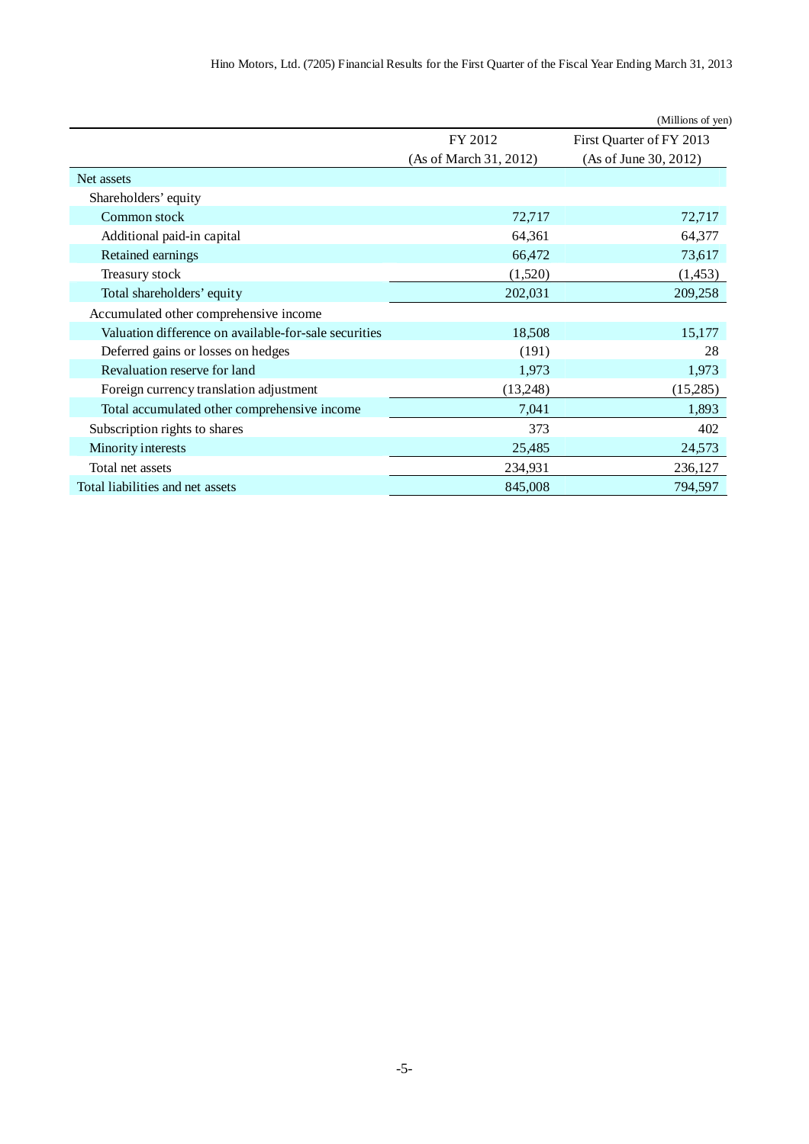|                                                       |                        | (Millions of yen)        |
|-------------------------------------------------------|------------------------|--------------------------|
|                                                       | FY 2012                | First Quarter of FY 2013 |
|                                                       | (As of March 31, 2012) | (As of June 30, 2012)    |
| Net assets                                            |                        |                          |
| Shareholders' equity                                  |                        |                          |
| Common stock                                          | 72,717                 | 72,717                   |
| Additional paid-in capital                            | 64,361                 | 64,377                   |
| Retained earnings                                     | 66,472                 | 73,617                   |
| Treasury stock                                        | (1,520)                | (1,453)                  |
| Total shareholders' equity                            | 202,031                | 209,258                  |
| Accumulated other comprehensive income                |                        |                          |
| Valuation difference on available-for-sale securities | 18,508                 | 15,177                   |
| Deferred gains or losses on hedges                    | (191)                  | 28                       |
| Revaluation reserve for land                          | 1,973                  | 1,973                    |
| Foreign currency translation adjustment               | (13,248)               | (15,285)                 |
| Total accumulated other comprehensive income          | 7,041                  | 1,893                    |
| Subscription rights to shares                         | 373                    | 402                      |
| Minority interests                                    | 25,485                 | 24,573                   |
| Total net assets                                      | 234,931                | 236,127                  |
| Total liabilities and net assets                      | 845,008                | 794,597                  |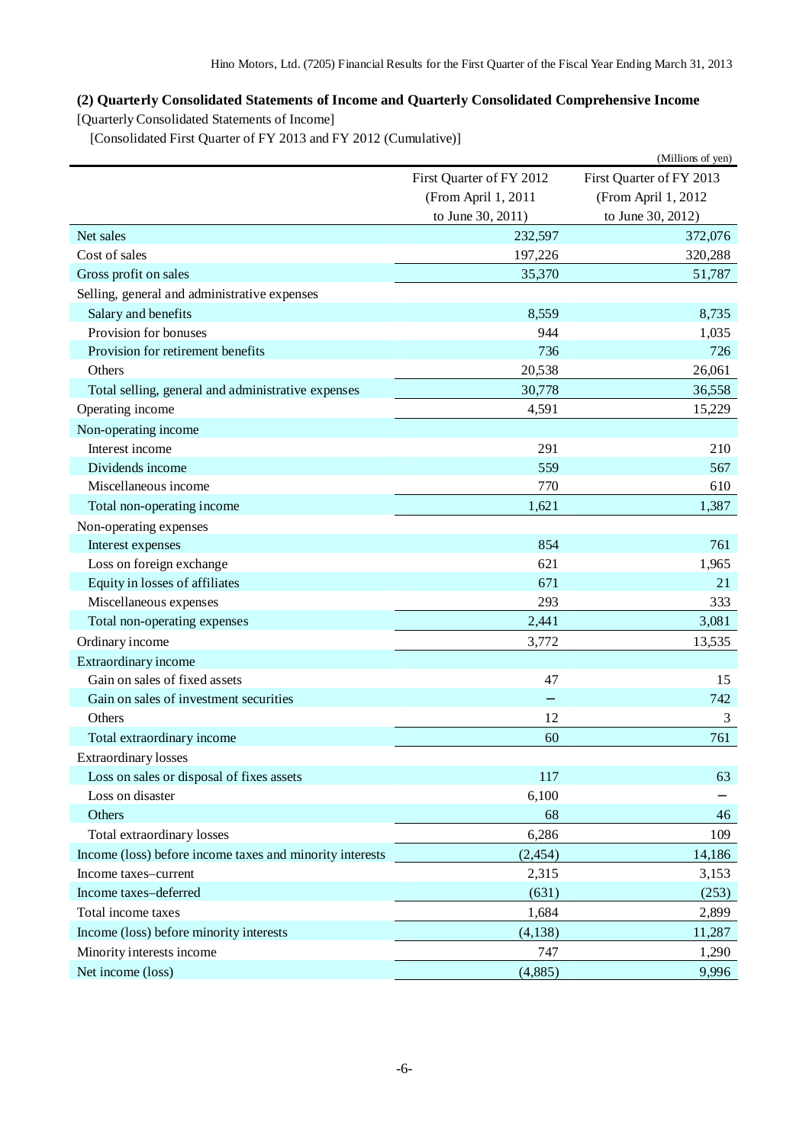## **(2) Quarterly Consolidated Statements of Income and Quarterly Consolidated Comprehensive Income**

[Quarterly Consolidated Statements of Income]

[Consolidated First Quarter of FY 2013 and FY 2012 (Cumulative)]

|                                                          |                          | (Millions of yen)        |
|----------------------------------------------------------|--------------------------|--------------------------|
|                                                          | First Quarter of FY 2012 | First Quarter of FY 2013 |
|                                                          | (From April 1, 2011      | (From April 1, 2012      |
|                                                          | to June 30, 2011)        | to June 30, 2012)        |
| Net sales                                                | 232,597                  | 372,076                  |
| Cost of sales                                            | 197,226                  | 320,288                  |
| Gross profit on sales                                    | 35,370                   | 51,787                   |
| Selling, general and administrative expenses             |                          |                          |
| Salary and benefits                                      | 8,559                    | 8,735                    |
| Provision for bonuses                                    | 944                      | 1,035                    |
| Provision for retirement benefits                        | 736                      | 726                      |
| Others                                                   | 20,538                   | 26,061                   |
| Total selling, general and administrative expenses       | 30,778                   | 36,558                   |
| Operating income                                         | 4,591                    | 15,229                   |
| Non-operating income                                     |                          |                          |
| Interest income                                          | 291                      | 210                      |
| Dividends income                                         | 559                      | 567                      |
| Miscellaneous income                                     | 770                      | 610                      |
| Total non-operating income                               | 1,621                    | 1,387                    |
| Non-operating expenses                                   |                          |                          |
| Interest expenses                                        | 854                      | 761                      |
| Loss on foreign exchange                                 | 621                      | 1,965                    |
| Equity in losses of affiliates                           | 671                      | 21                       |
| Miscellaneous expenses                                   | 293                      | 333                      |
| Total non-operating expenses                             | 2,441                    | 3,081                    |
| Ordinary income                                          | 3,772                    | 13,535                   |
| Extraordinary income                                     |                          |                          |
| Gain on sales of fixed assets                            | 47                       | 15                       |
| Gain on sales of investment securities                   |                          | 742                      |
| Others                                                   | 12                       | 3                        |
| Total extraordinary income                               | 60                       | 761                      |
| <b>Extraordinary losses</b>                              |                          |                          |
| Loss on sales or disposal of fixes assets                | 117                      | 63                       |
| Loss on disaster                                         | 6,100                    |                          |
| Others                                                   | 68                       | 46                       |
| Total extraordinary losses                               | 6,286                    | 109                      |
| Income (loss) before income taxes and minority interests | (2, 454)                 | 14,186                   |
| Income taxes-current                                     | 2,315                    | 3,153                    |
| Income taxes-deferred                                    | (631)                    | (253)                    |
| Total income taxes                                       | 1,684                    | 2,899                    |
| Income (loss) before minority interests                  | (4, 138)                 | 11,287                   |
| Minority interests income                                | 747                      | 1,290                    |
| Net income (loss)                                        | (4,885)                  | 9,996                    |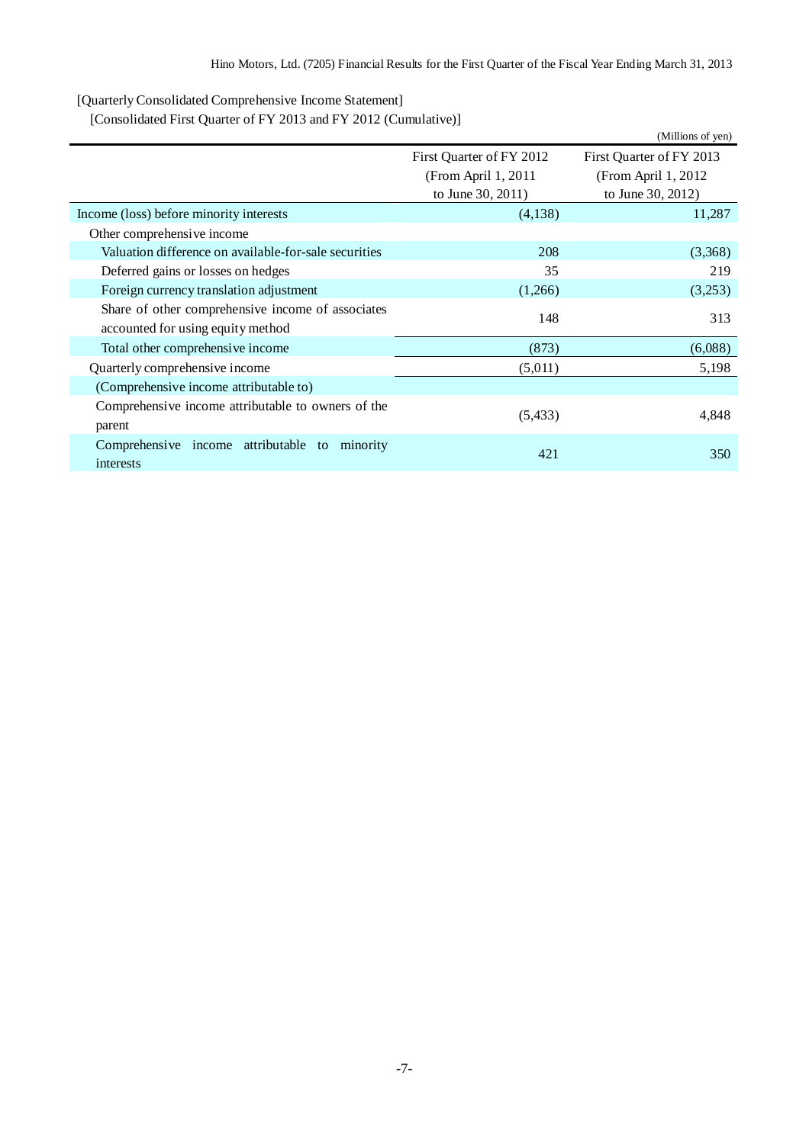[Quarterly Consolidated Comprehensive Income Statement]

[Consolidated First Quarter of FY 2013 and FY 2012 (Cumulative)]

|                                                       |                          | (Millions of yen)        |
|-------------------------------------------------------|--------------------------|--------------------------|
|                                                       | First Quarter of FY 2012 | First Quarter of FY 2013 |
|                                                       | (From April 1, 2011)     | (From April $1,2012$     |
|                                                       | to June 30, 2011)        | to June 30, 2012)        |
| Income (loss) before minority interests               | (4,138)                  | 11,287                   |
| Other comprehensive income                            |                          |                          |
| Valuation difference on available-for-sale securities | 208                      | (3,368)                  |
| Deferred gains or losses on hedges                    | 35                       | 219                      |
| Foreign currency translation adjustment               | (1,266)                  | (3,253)                  |
| Share of other comprehensive income of associates     | 148                      | 313                      |
| accounted for using equity method                     |                          |                          |
| Total other comprehensive income                      | (873)                    | (6,088)                  |
| Quarterly comprehensive income                        | (5,011)                  | 5,198                    |
| (Comprehensive income attributable to)                |                          |                          |
| Comprehensive income attributable to owners of the    |                          |                          |
| parent                                                | (5, 433)                 | 4,848                    |
| Comprehensive income attributable to<br>minority      | 421                      | 350                      |
| interests                                             |                          |                          |